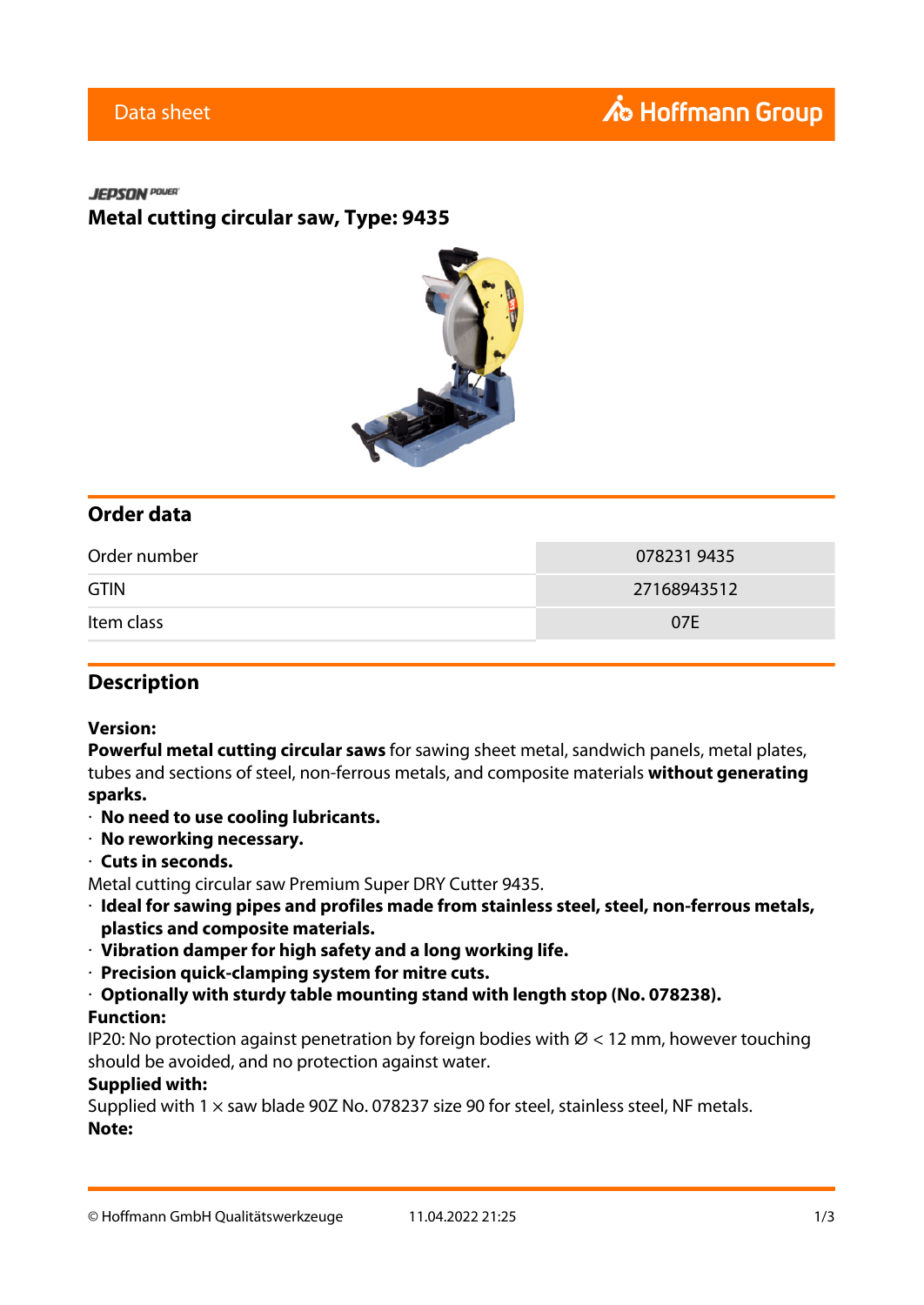#### **JEPSON** POWER

**Metal cutting circular saw, Type: 9435**



## **Order data**

| Order number | 0782319435  |
|--------------|-------------|
| <b>GTIN</b>  | 27168943512 |
| Item class   | 07E         |

## **Description**

#### **Version:**

**Powerful metal cutting circular saws** for sawing sheet metal, sandwich panels, metal plates, tubes and sections of steel, non-ferrous metals, and composite materials **without generating sparks.**

- · **No need to use cooling lubricants.**
- · **No reworking necessary.**
- · **Cuts in seconds.**

Metal cutting circular saw Premium Super DRY Cutter 9435.

- · **Ideal for sawing pipes and profiles made from stainless steel, steel, non-ferrous metals, plastics and composite materials.**
- · **Vibration damper for high safety and a long working life.**
- · **Precision quick-clamping system for mitre cuts.**
- · **Optionally with sturdy table mounting stand with length stop (No. 078238).**

## **Function:**

IP20: No protection against penetration by foreign bodies with  $\varnothing$  < 12 mm, however touching should be avoided, and no protection against water.

## **Supplied with:**

Supplied with 1  $\times$  saw blade 90Z No. 078237 size 90 for steel, stainless steel, NF metals. **Note:**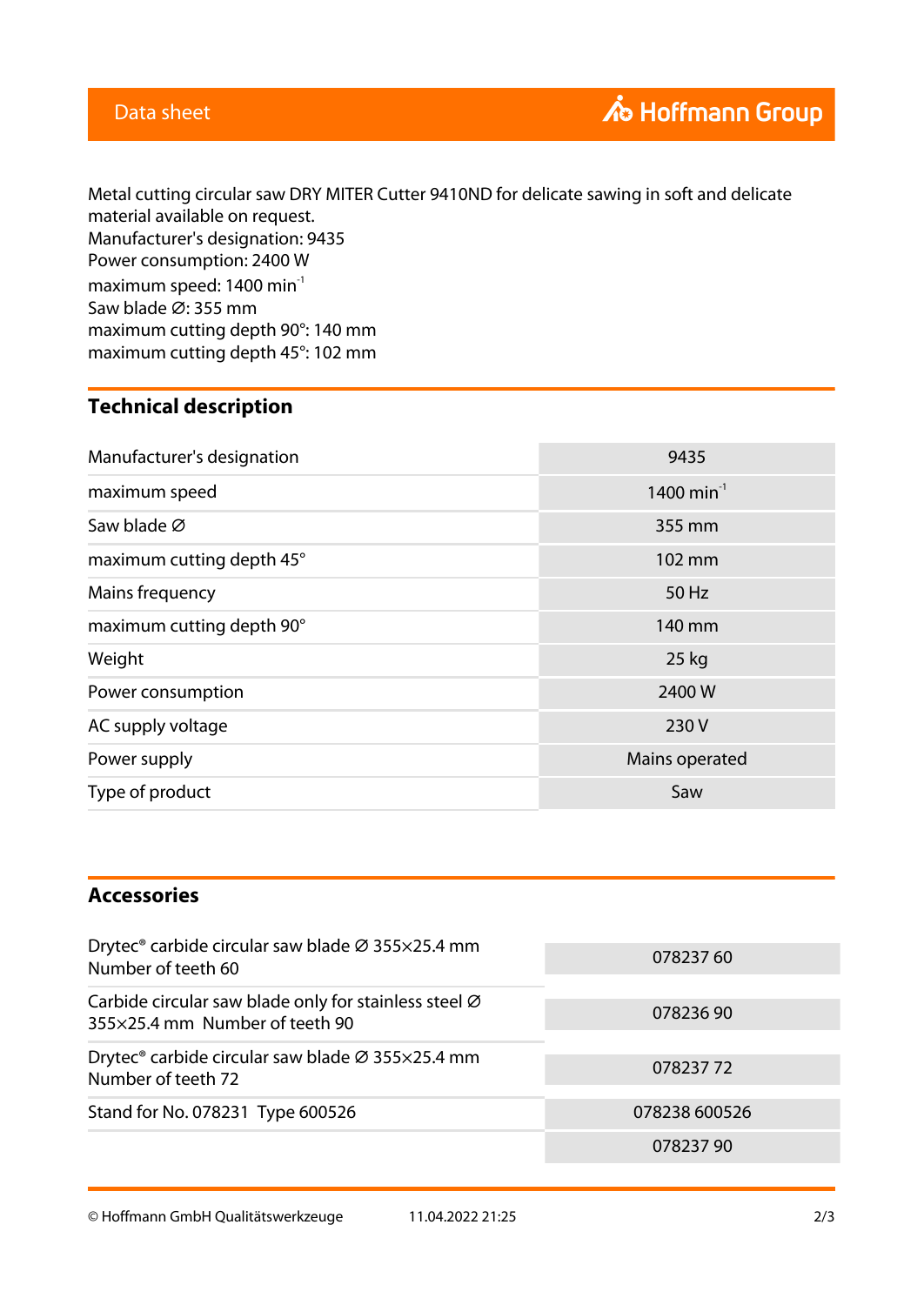Metal cutting circular saw DRY MITER Cutter 9410ND for delicate sawing in soft and delicate material available on request. Manufacturer's designation: 9435 Power consumption: 2400 W maximum speed: 1400 min<sup>-1</sup> Saw blade Ø: 355 mm maximum cutting depth 90°: 140 mm maximum cutting depth 45°: 102 mm

# **Technical description**

| Manufacturer's designation | 9435                   |
|----------------------------|------------------------|
| maximum speed              | 1400 min <sup>-1</sup> |
| Saw blade Ø                | 355 mm                 |
| maximum cutting depth 45°  | 102 mm                 |
| Mains frequency            | 50 Hz                  |
| maximum cutting depth 90°  | 140 mm                 |
| Weight                     | 25 kg                  |
| Power consumption          | 2400 W                 |
| AC supply voltage          | 230V                   |
| Power supply               | Mains operated         |
| Type of product            | Saw                    |

# **Accessories**

| Drytec <sup>®</sup> carbide circular saw blade Ø 355×25.4 mm<br>Number of teeth 60      | 078237 60     |
|-----------------------------------------------------------------------------------------|---------------|
| Carbide circular saw blade only for stainless steel Ø<br>355×25.4 mm Number of teeth 90 | 07823690      |
| Drytec <sup>®</sup> carbide circular saw blade Ø 355×25.4 mm<br>Number of teeth 72      | 07823772      |
| Stand for No. 078231 Type 600526                                                        | 078238 600526 |
|                                                                                         | 07823790      |